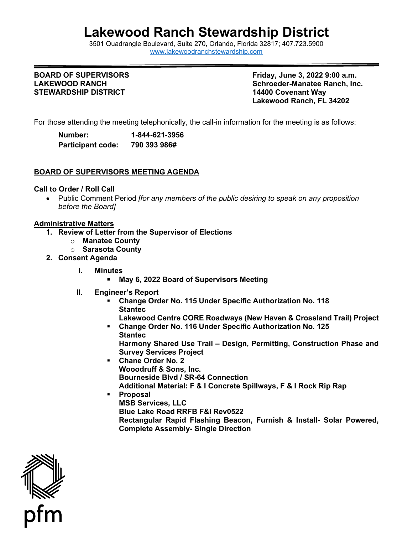# **Lakewood Ranch Stewardship District**

3501 Quadrangle B[oulevard, Suite 270, Orlando, Florida 32](http://www.lakewoodranchstewardship.com/)817; 407.723.5900 [www.lakewoodranchstewardship.com](http://www.lakewoodranchstewardship.com/) 

## **BOARD OF SUPERVISORS LAKEWOOD RANCH STEWARDSHIP DISTRICT 14400 Covenant Way**

**BOARD OF SUPERVISORS Friday, June 3, 2022 9:00 a.m. Schroeder-Manatee Ranch, Inc. Lakewood Ranch, FL 34202** 

For those attending the meeting telephonically, the call-in information for the meeting is as follows:

| Number:                  | 1-844-621-3956 |
|--------------------------|----------------|
| <b>Participant code:</b> | 790 393 986#   |

## **BOARD OF SUPERVISORS MEETING AGENDA**

## **Call to Order / Roll Call**

• Public Comment Period *[for any members of the public desiring to speak on any proposition before the Board]* 

## **Administrative Matters**

- **1. Review of Letter from the Supervisor of Elections** 
	- o **Manatee County** 
		- o **Sarasota County**
- **2. Consent Agenda** 
	- **I. Minutes** 
		- **May 6, 2022 Board of Supervisors Meeting**
	- **II. Engineer's Report** 
		- **Change Order No. 115 Under Specific Authorization No. 118 Stantec** 
			- **Lakewood Centre CORE Roadways (New Haven & Crossland Trail) Project**
		- **Change Order No. 116 Under Specific Authorization No. 125 Stantec Harmony Shared Use Trail – Design, Permitting, Construction Phase and Survey Services Project**
		- **Chane Order No. 2 Wooodruff & Sons, Inc. Bourneside Blvd / SR-64 Connection Additional Material: F & I Concrete Spillways, F & I Rock Rip Rap**
		- **Proposal MSB Services, LLC Blue Lake Road RRFB F&I Rev0522 Rectangular Rapid Flashing Beacon, Furnish & Install- Solar Powered, Complete Assembly- Single Direction**